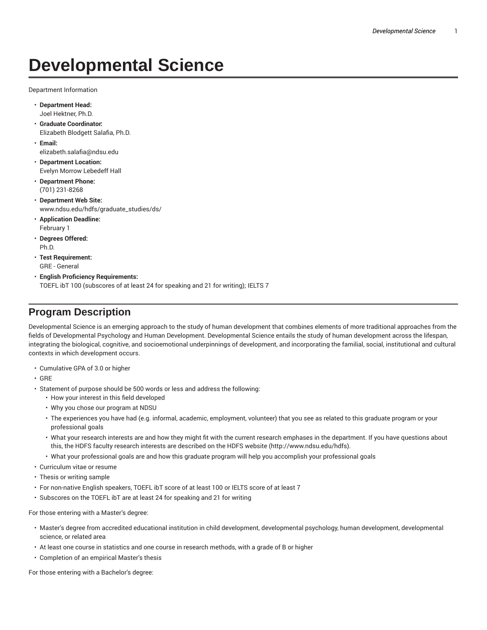# **Developmental Science**

Department Information

- **Department Head:** Joel Hektner, Ph.D.
- **Graduate Coordinator:** Elizabeth Blodgett Salafia, Ph.D.
- **Email:** elizabeth.salafia@ndsu.edu
- **Department Location:** Evelyn Morrow Lebedeff Hall
- **Department Phone:** (701) 231-8268
- **Department Web Site:** www.ndsu.edu/hdfs/graduate\_studies/ds/
- **Application Deadline:** February 1
- **Degrees Offered:** Ph.D.
- **Test Requirement:** GRE - General
- **English Proficiency Requirements:** TOEFL ibT 100 (subscores of at least 24 for speaking and 21 for writing); IELTS 7

# **Program Description**

Developmental Science is an emerging approach to the study of human development that combines elements of more traditional approaches from the fields of Developmental Psychology and Human Development. Developmental Science entails the study of human development across the lifespan, integrating the biological, cognitive, and socioemotional underpinnings of development, and incorporating the familial, social, institutional and cultural contexts in which development occurs.

- Cumulative GPA of 3.0 or higher
- GRE
- Statement of purpose should be 500 words or less and address the following:
	- How your interest in this field developed
	- Why you chose our program at NDSU
	- The experiences you have had (e.g. informal, academic, employment, volunteer) that you see as related to this graduate program or your professional goals
	- What your research interests are and how they might fit with the current research emphases in the department. If you have questions about this, the HDFS faculty research interests are described on the HDFS website (http://www.ndsu.edu/hdfs).
	- What your professional goals are and how this graduate program will help you accomplish your professional goals
- Curriculum vitae or resume
- Thesis or writing sample
- For non-native English speakers, TOEFL ibT score of at least 100 or IELTS score of at least 7
- Subscores on the TOEFL ibT are at least 24 for speaking and 21 for writing

For those entering with a Master's degree:

- Master's degree from accredited educational institution in child development, developmental psychology, human development, developmental science, or related area
- At least one course in statistics and one course in research methods, with a grade of B or higher
- Completion of an empirical Master's thesis

For those entering with a Bachelor's degree: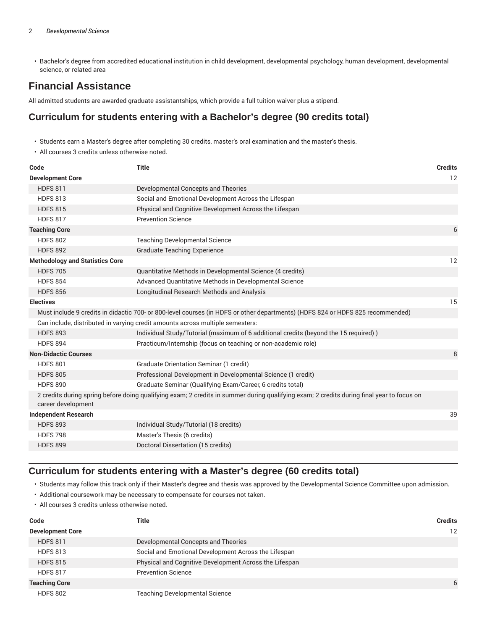• Bachelor's degree from accredited educational institution in child development, developmental psychology, human development, developmental science, or related area

# **Financial Assistance**

All admitted students are awarded graduate assistantships, which provide a full tuition waiver plus a stipend.

## **Curriculum for students entering with a Bachelor's degree (90 credits total)**

- Students earn a Master's degree after completing 30 credits, master's oral examination and the master's thesis.
- All courses 3 credits unless otherwise noted.

| Code                                   | <b>Title</b>                                                                                                                              | <b>Credits</b> |
|----------------------------------------|-------------------------------------------------------------------------------------------------------------------------------------------|----------------|
| <b>Development Core</b>                |                                                                                                                                           | 12             |
| <b>HDFS 811</b>                        | Developmental Concepts and Theories                                                                                                       |                |
| <b>HDFS 813</b>                        | Social and Emotional Development Across the Lifespan                                                                                      |                |
| <b>HDFS 815</b>                        | Physical and Cognitive Development Across the Lifespan                                                                                    |                |
| <b>HDFS 817</b>                        | <b>Prevention Science</b>                                                                                                                 |                |
| <b>Teaching Core</b>                   |                                                                                                                                           | 6              |
| <b>HDFS 802</b>                        | <b>Teaching Developmental Science</b>                                                                                                     |                |
| <b>HDFS 892</b>                        | <b>Graduate Teaching Experience</b>                                                                                                       |                |
| <b>Methodology and Statistics Core</b> |                                                                                                                                           | 12             |
| <b>HDFS 705</b>                        | Quantitative Methods in Developmental Science (4 credits)                                                                                 |                |
| <b>HDFS 854</b>                        | Advanced Quantitative Methods in Developmental Science                                                                                    |                |
| <b>HDFS 856</b>                        | Longitudinal Research Methods and Analysis                                                                                                |                |
| <b>Electives</b>                       |                                                                                                                                           | 15             |
|                                        | Must include 9 credits in didactic 700- or 800-level courses (in HDFS or other departments) (HDFS 824 or HDFS 825 recommended)            |                |
|                                        | Can include, distributed in varying credit amounts across multiple semesters:                                                             |                |
| <b>HDFS 893</b>                        | Individual Study/Tutorial (maximum of 6 additional credits (beyond the 15 required))                                                      |                |
| <b>HDFS 894</b>                        | Practicum/Internship (focus on teaching or non-academic role)                                                                             |                |
| <b>Non-Didactic Courses</b>            |                                                                                                                                           | 8              |
| <b>HDFS 801</b>                        | Graduate Orientation Seminar (1 credit)                                                                                                   |                |
| <b>HDFS 805</b>                        | Professional Development in Developmental Science (1 credit)                                                                              |                |
| <b>HDFS 890</b>                        | Graduate Seminar (Qualifying Exam/Career, 6 credits total)                                                                                |                |
| career development                     | 2 credits during spring before doing qualifying exam; 2 credits in summer during qualifying exam; 2 credits during final year to focus on |                |
| <b>Independent Research</b>            |                                                                                                                                           | 39             |
| <b>HDFS 893</b>                        | Individual Study/Tutorial (18 credits)                                                                                                    |                |
| <b>HDFS 798</b>                        | Master's Thesis (6 credits)                                                                                                               |                |
| <b>HDFS 899</b>                        | Doctoral Dissertation (15 credits)                                                                                                        |                |
|                                        |                                                                                                                                           |                |

## **Curriculum for students entering with a Master's degree (60 credits total)**

- Students may follow this track only if their Master's degree and thesis was approved by the Developmental Science Committee upon admission.
- Additional coursework may be necessary to compensate for courses not taken.
- All courses 3 credits unless otherwise noted.

| Code                    | Title                                                  | <b>Credits</b> |
|-------------------------|--------------------------------------------------------|----------------|
| <b>Development Core</b> |                                                        | 12             |
| <b>HDFS 811</b>         | Developmental Concepts and Theories                    |                |
| <b>HDFS 813</b>         | Social and Emotional Development Across the Lifespan   |                |
| <b>HDFS 815</b>         | Physical and Cognitive Development Across the Lifespan |                |
| <b>HDFS 817</b>         | <b>Prevention Science</b>                              |                |
| <b>Teaching Core</b>    |                                                        | 6              |
| <b>HDFS 802</b>         | <b>Teaching Developmental Science</b>                  |                |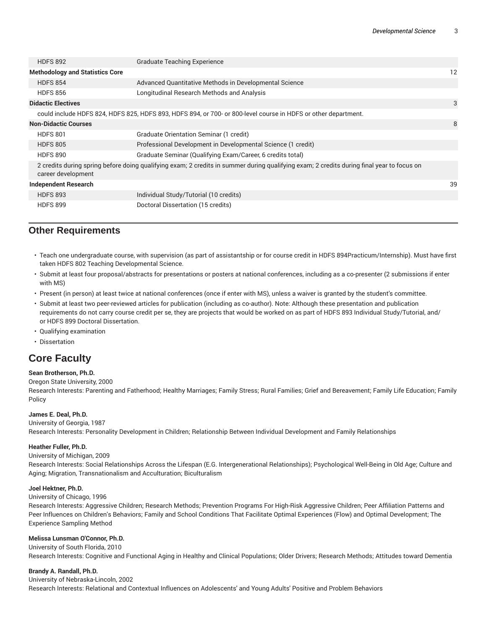| <b>HDFS 892</b>                        | <b>Graduate Teaching Experience</b>                                                                                                       |    |
|----------------------------------------|-------------------------------------------------------------------------------------------------------------------------------------------|----|
| <b>Methodology and Statistics Core</b> |                                                                                                                                           | 12 |
| <b>HDFS 854</b>                        | Advanced Quantitative Methods in Developmental Science                                                                                    |    |
| <b>HDFS 856</b>                        | Longitudinal Research Methods and Analysis                                                                                                |    |
| <b>Didactic Electives</b>              |                                                                                                                                           | 3  |
|                                        | could include HDFS 824, HDFS 825, HDFS 893, HDFS 894, or 700- or 800-level course in HDFS or other department.                            |    |
| <b>Non-Didactic Courses</b>            |                                                                                                                                           | 8  |
| <b>HDFS 801</b>                        | Graduate Orientation Seminar (1 credit)                                                                                                   |    |
| <b>HDFS 805</b>                        | Professional Development in Developmental Science (1 credit)                                                                              |    |
| <b>HDFS 890</b>                        | Graduate Seminar (Qualifying Exam/Career, 6 credits total)                                                                                |    |
| career development                     | 2 credits during spring before doing qualifying exam; 2 credits in summer during qualifying exam; 2 credits during final year to focus on |    |
| <b>Independent Research</b>            |                                                                                                                                           | 39 |
| <b>HDFS 893</b>                        | Individual Study/Tutorial (10 credits)                                                                                                    |    |
| <b>HDFS 899</b>                        | Doctoral Dissertation (15 credits)                                                                                                        |    |

# **Other Requirements**

- Teach one undergraduate course, with supervision (as part of assistantship or for course credit in HDFS 894Practicum/Internship). Must have first taken HDFS 802 Teaching Developmental Science.
- Submit at least four proposal/abstracts for presentations or posters at national conferences, including as a co-presenter (2 submissions if enter with MS)
- Present (in person) at least twice at national conferences (once if enter with MS), unless a waiver is granted by the student's committee.
- Submit at least two peer-reviewed articles for publication (including as co-author). Note: Although these presentation and publication requirements do not carry course credit per se, they are projects that would be worked on as part of HDFS 893 Individual Study/Tutorial, and/ or HDFS 899 Doctoral Dissertation.
- Qualifying examination
- Dissertation

# **Core Faculty**

### **Sean Brotherson, Ph.D.**

Oregon State University, 2000

Research Interests: Parenting and Fatherhood; Healthy Marriages; Family Stress; Rural Families; Grief and Bereavement; Family Life Education; Family Policy

## **James E. Deal, Ph.D.**

University of Georgia, 1987 Research Interests: Personality Development in Children; Relationship Between Individual Development and Family Relationships

## **Heather Fuller, Ph.D.**

University of Michigan, 2009

Research Interests: Social Relationships Across the Lifespan (E.G. Intergenerational Relationships); Psychological Well-Being in Old Age; Culture and Aging; Migration, Transnationalism and Acculturation; Biculturalism

## **Joel Hektner, Ph.D.**

University of Chicago, 1996

Research Interests: Aggressive Children; Research Methods; Prevention Programs For High-Risk Aggressive Children; Peer Affiliation Patterns and Peer Influences on Children's Behaviors; Family and School Conditions That Facilitate Optimal Experiences (Flow) and Optimal Development; The Experience Sampling Method

## **Melissa Lunsman O'Connor, Ph.D.**

University of South Florida, 2010

Research Interests: Cognitive and Functional Aging in Healthy and Clinical Populations; Older Drivers; Research Methods; Attitudes toward Dementia

### **Brandy A. Randall, Ph.D.**

University of Nebraska-Lincoln, 2002

Research Interests: Relational and Contextual Influences on Adolescents' and Young Adults' Positive and Problem Behaviors